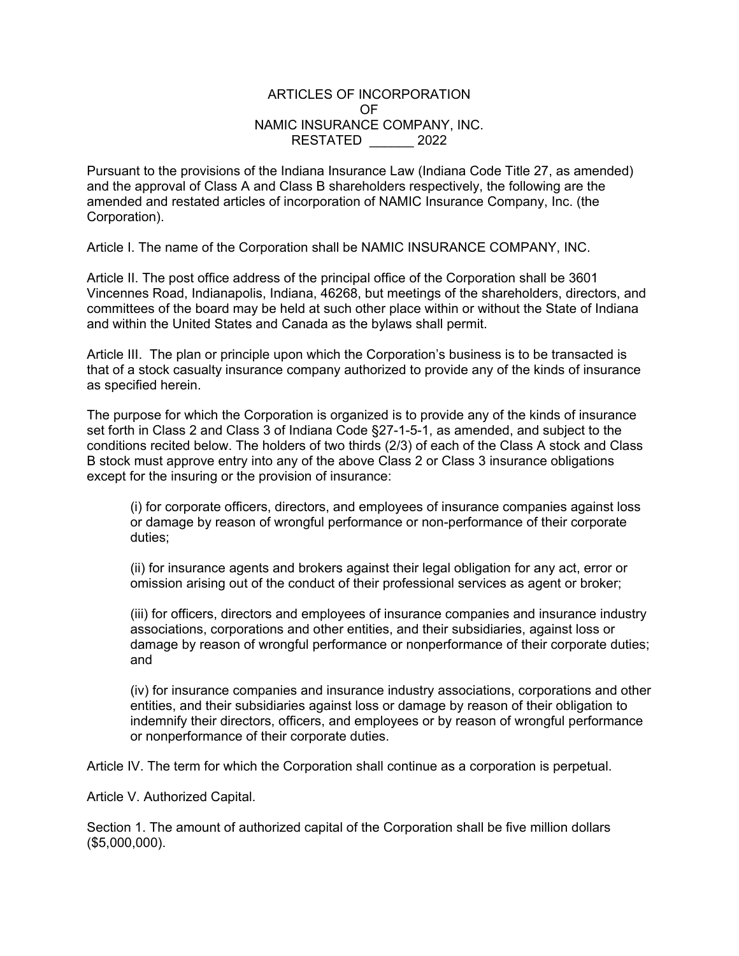## ARTICLES OF INCORPORATION OF NAMIC INSURANCE COMPANY, INC. RESTATED \_\_\_\_\_\_ 2022

Pursuant to the provisions of the Indiana Insurance Law (Indiana Code Title 27, as amended) and the approval of Class A and Class B shareholders respectively, the following are the amended and restated articles of incorporation of NAMIC Insurance Company, Inc. (the Corporation).

Article I. The name of the Corporation shall be NAMIC INSURANCE COMPANY, INC.

Article II. The post office address of the principal office of the Corporation shall be 3601 Vincennes Road, Indianapolis, Indiana, 46268, but meetings of the shareholders, directors, and committees of the board may be held at such other place within or without the State of Indiana and within the United States and Canada as the bylaws shall permit.

Article III. The plan or principle upon which the Corporation's business is to be transacted is that of a stock casualty insurance company authorized to provide any of the kinds of insurance as specified herein.

The purpose for which the Corporation is organized is to provide any of the kinds of insurance set forth in Class 2 and Class 3 of Indiana Code §27-1-5-1, as amended, and subject to the conditions recited below. The holders of two thirds (2/3) of each of the Class A stock and Class B stock must approve entry into any of the above Class 2 or Class 3 insurance obligations except for the insuring or the provision of insurance:

(i) for corporate officers, directors, and employees of insurance companies against loss or damage by reason of wrongful performance or non-performance of their corporate duties;

(ii) for insurance agents and brokers against their legal obligation for any act, error or omission arising out of the conduct of their professional services as agent or broker;

(iii) for officers, directors and employees of insurance companies and insurance industry associations, corporations and other entities, and their subsidiaries, against loss or damage by reason of wrongful performance or nonperformance of their corporate duties; and

(iv) for insurance companies and insurance industry associations, corporations and other entities, and their subsidiaries against loss or damage by reason of their obligation to indemnify their directors, officers, and employees or by reason of wrongful performance or nonperformance of their corporate duties.

Article IV. The term for which the Corporation shall continue as a corporation is perpetual.

Article V. Authorized Capital.

Section 1. The amount of authorized capital of the Corporation shall be five million dollars (\$5,000,000).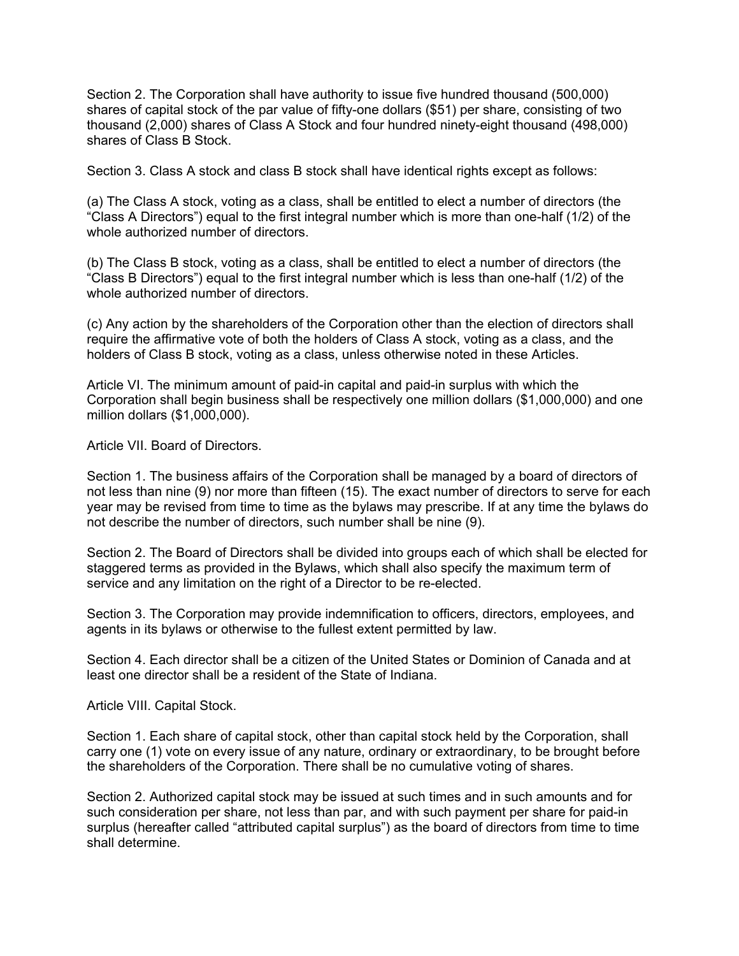Section 2. The Corporation shall have authority to issue five hundred thousand (500,000) shares of capital stock of the par value of fifty-one dollars (\$51) per share, consisting of two thousand (2,000) shares of Class A Stock and four hundred ninety-eight thousand (498,000) shares of Class B Stock.

Section 3. Class A stock and class B stock shall have identical rights except as follows:

(a) The Class A stock, voting as a class, shall be entitled to elect a number of directors (the "Class A Directors") equal to the first integral number which is more than one-half (1/2) of the whole authorized number of directors.

(b) The Class B stock, voting as a class, shall be entitled to elect a number of directors (the "Class B Directors") equal to the first integral number which is less than one-half (1/2) of the whole authorized number of directors.

(c) Any action by the shareholders of the Corporation other than the election of directors shall require the affirmative vote of both the holders of Class A stock, voting as a class, and the holders of Class B stock, voting as a class, unless otherwise noted in these Articles.

Article VI. The minimum amount of paid-in capital and paid-in surplus with which the Corporation shall begin business shall be respectively one million dollars (\$1,000,000) and one million dollars (\$1,000,000).

Article VII. Board of Directors.

Section 1. The business affairs of the Corporation shall be managed by a board of directors of not less than nine (9) nor more than fifteen (15). The exact number of directors to serve for each year may be revised from time to time as the bylaws may prescribe. If at any time the bylaws do not describe the number of directors, such number shall be nine (9).

Section 2. The Board of Directors shall be divided into groups each of which shall be elected for staggered terms as provided in the Bylaws, which shall also specify the maximum term of service and any limitation on the right of a Director to be re-elected.

Section 3. The Corporation may provide indemnification to officers, directors, employees, and agents in its bylaws or otherwise to the fullest extent permitted by law.

Section 4. Each director shall be a citizen of the United States or Dominion of Canada and at least one director shall be a resident of the State of Indiana.

Article VIII. Capital Stock.

Section 1. Each share of capital stock, other than capital stock held by the Corporation, shall carry one (1) vote on every issue of any nature, ordinary or extraordinary, to be brought before the shareholders of the Corporation. There shall be no cumulative voting of shares.

Section 2. Authorized capital stock may be issued at such times and in such amounts and for such consideration per share, not less than par, and with such payment per share for paid-in surplus (hereafter called "attributed capital surplus") as the board of directors from time to time shall determine.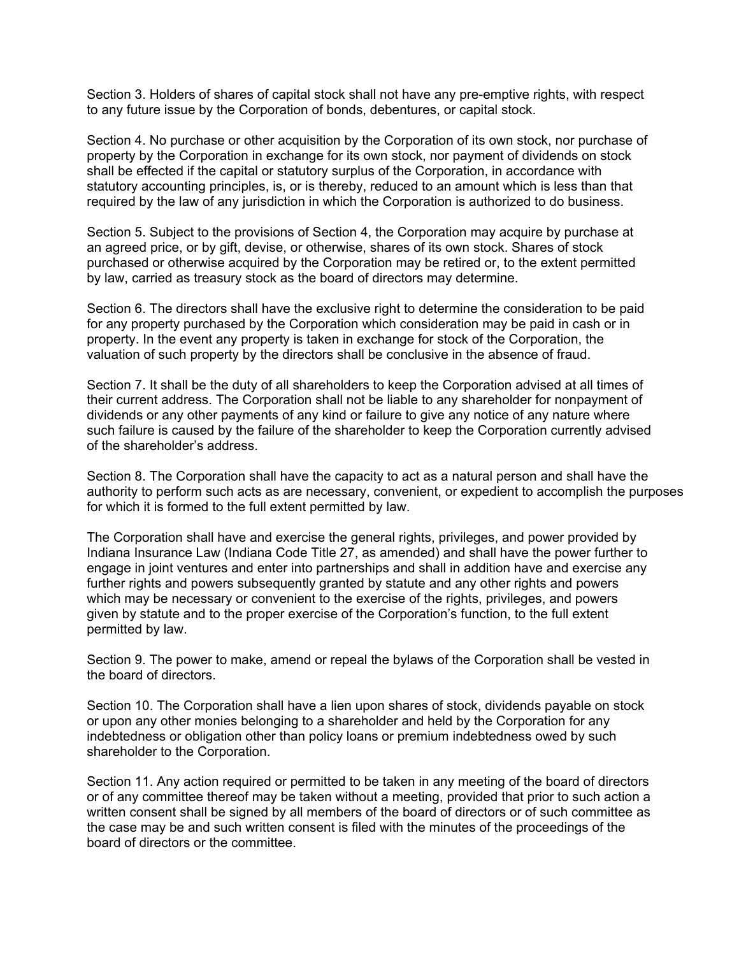Section 3. Holders of shares of capital stock shall not have any pre-emptive rights, with respect to any future issue by the Corporation of bonds, debentures, or capital stock.

Section 4. No purchase or other acquisition by the Corporation of its own stock, nor purchase of property by the Corporation in exchange for its own stock, nor payment of dividends on stock shall be effected if the capital or statutory surplus of the Corporation, in accordance with statutory accounting principles, is, or is thereby, reduced to an amount which is less than that required by the law of any jurisdiction in which the Corporation is authorized to do business.

Section 5. Subject to the provisions of Section 4, the Corporation may acquire by purchase at an agreed price, or by gift, devise, or otherwise, shares of its own stock. Shares of stock purchased or otherwise acquired by the Corporation may be retired or, to the extent permitted by law, carried as treasury stock as the board of directors may determine.

Section 6. The directors shall have the exclusive right to determine the consideration to be paid for any property purchased by the Corporation which consideration may be paid in cash or in property. In the event any property is taken in exchange for stock of the Corporation, the valuation of such property by the directors shall be conclusive in the absence of fraud.

Section 7. It shall be the duty of all shareholders to keep the Corporation advised at all times of their current address. The Corporation shall not be liable to any shareholder for nonpayment of dividends or any other payments of any kind or failure to give any notice of any nature where such failure is caused by the failure of the shareholder to keep the Corporation currently advised of the shareholder's address.

Section 8. The Corporation shall have the capacity to act as a natural person and shall have the authority to perform such acts as are necessary, convenient, or expedient to accomplish the purposes for which it is formed to the full extent permitted by law.

The Corporation shall have and exercise the general rights, privileges, and power provided by Indiana Insurance Law (Indiana Code Title 27, as amended) and shall have the power further to engage in joint ventures and enter into partnerships and shall in addition have and exercise any further rights and powers subsequently granted by statute and any other rights and powers which may be necessary or convenient to the exercise of the rights, privileges, and powers given by statute and to the proper exercise of the Corporation's function, to the full extent permitted by law.

Section 9. The power to make, amend or repeal the bylaws of the Corporation shall be vested in the board of directors.

Section 10. The Corporation shall have a lien upon shares of stock, dividends payable on stock or upon any other monies belonging to a shareholder and held by the Corporation for any indebtedness or obligation other than policy loans or premium indebtedness owed by such shareholder to the Corporation.

Section 11. Any action required or permitted to be taken in any meeting of the board of directors or of any committee thereof may be taken without a meeting, provided that prior to such action a written consent shall be signed by all members of the board of directors or of such committee as the case may be and such written consent is filed with the minutes of the proceedings of the board of directors or the committee.